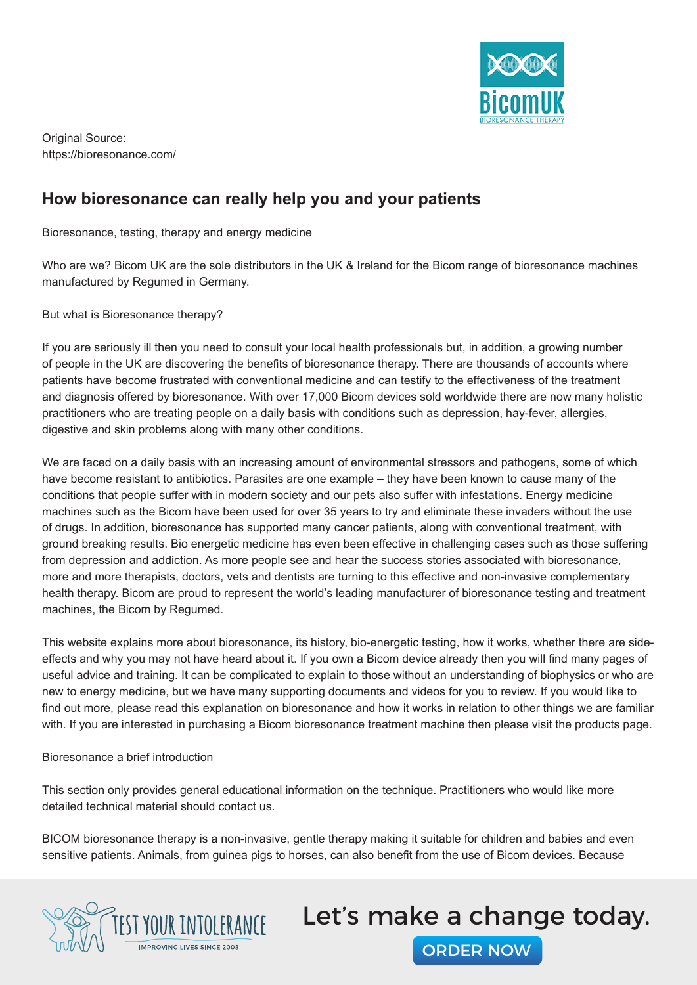

### **How bioresonance can really help you and your patients**

Bioresonance, testing, therapy and energy medicine

Who are we? Bicom UK are the sole distributors in the UK & Ireland for the Bicom range of bioresonance machines manufactured by Regumed in Germany.

But what is Bioresonance therapy?

If you are seriously ill then you need to consult your local health professionals but, in addition, a growing number of people in the UK are discovering the benefits of bioresonance therapy. There are thousands of accounts where patients have become frustrated with conventional medicine and can testify to the effectiveness of the treatment and diagnosis offered by bioresonance. With over 17,000 Bicom devices sold worldwide there are now many holistic practitioners who are treating people on a daily basis with conditions such as depression, hay-fever, allergies, digestive and skin problems along with many other conditions.

We are faced on a daily basis with an increasing amount of environmental stressors and pathogens, some of which have become resistant to antibiotics. Parasites are one example – they have been known to cause many of the conditions that people suffer with in modern society and our pets also suffer with infestations. Energy medicine machines such as the Bicom have been used for over 35 years to try and eliminate these invaders without the use of drugs. In addition, bioresonance has supported many cancer patients, along with conventional treatment, with ground breaking results. Bio energetic medicine has even been effective in challenging cases such as those suffering from depression and addiction. As more people see and hear the success stories associated with bioresonance, more and more therapists, doctors, vets and dentists are turning to this effective and non-invasive complementary health therapy. Bicom are proud to represent the world's leading manufacturer of bioresonance testing and treatment machines, the Bicom by Regumed.

This website explains more about bioresonance, its history, bio-energetic testing, how it works, whether there are sideeffects and why you may not have heard about it. If you own a Bicom device already then you will find many pages of useful advice and training. It can be complicated to explain to those without an understanding of biophysics or who are new to energy medicine, but we have many supporting documents and videos for you to review. If you would like to find out more, please read this explanation on bioresonance and how it works in relation to other things we are familiar with. If you are interested in purchasing a Bicom bioresonance treatment machine then please visit the products page.

Bioresonance a brief introduction

This section only provides general educational information on the technique. Practitioners who would like more detailed technical material should contact us.

BICOM bioresonance therapy is a non-invasive, gentle therapy making it suitable for children and babies and even sensitive patients. Animals, from guinea pigs to horses, can also benefit from the use of Bicom devices. Because



# Let's make a change today.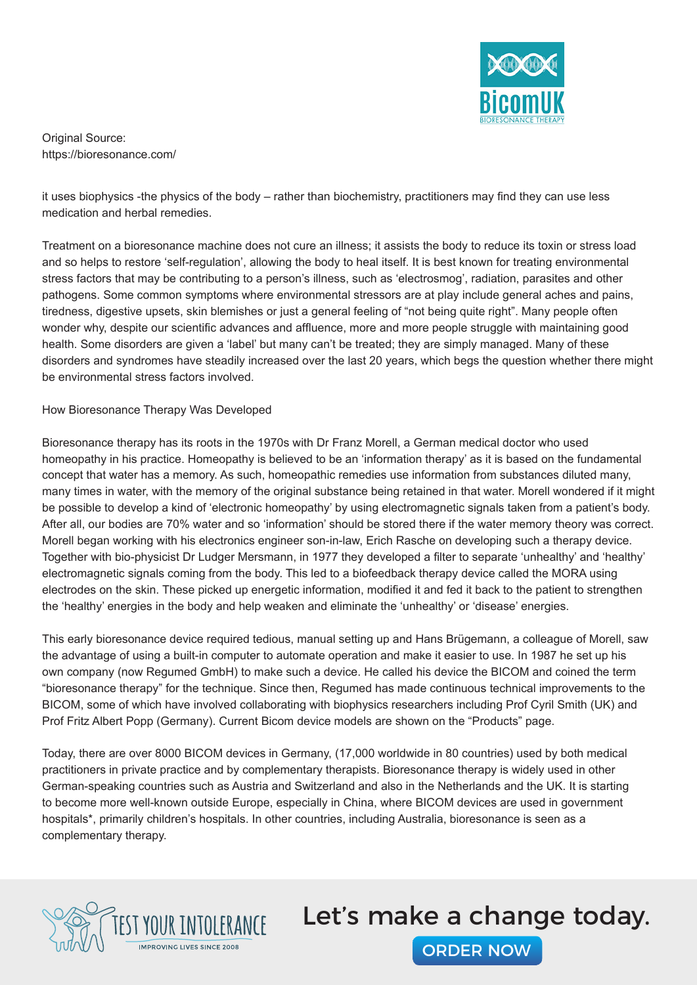

it uses biophysics -the physics of the body – rather than biochemistry, practitioners may find they can use less medication and herbal remedies.

Treatment on a bioresonance machine does not cure an illness; it assists the body to reduce its toxin or stress load and so helps to restore 'self-regulation', allowing the body to heal itself. It is best known for treating environmental stress factors that may be contributing to a person's illness, such as 'electrosmog', radiation, parasites and other pathogens. Some common symptoms where environmental stressors are at play include general aches and pains, tiredness, digestive upsets, skin blemishes or just a general feeling of "not being quite right". Many people often wonder why, despite our scientific advances and affluence, more and more people struggle with maintaining good health. Some disorders are given a 'label' but many can't be treated; they are simply managed. Many of these disorders and syndromes have steadily increased over the last 20 years, which begs the question whether there might be environmental stress factors involved.

#### How Bioresonance Therapy Was Developed

Bioresonance therapy has its roots in the 1970s with Dr Franz Morell, a German medical doctor who used homeopathy in his practice. Homeopathy is believed to be an 'information therapy' as it is based on the fundamental concept that water has a memory. As such, homeopathic remedies use information from substances diluted many, many times in water, with the memory of the original substance being retained in that water. Morell wondered if it might be possible to develop a kind of 'electronic homeopathy' by using electromagnetic signals taken from a patient's body. After all, our bodies are 70% water and so 'information' should be stored there if the water memory theory was correct. Morell began working with his electronics engineer son-in-law, Erich Rasche on developing such a therapy device. Together with bio-physicist Dr Ludger Mersmann, in 1977 they developed a filter to separate 'unhealthy' and 'healthy' electromagnetic signals coming from the body. This led to a biofeedback therapy device called the MORA using electrodes on the skin. These picked up energetic information, modified it and fed it back to the patient to strengthen the 'healthy' energies in the body and help weaken and eliminate the 'unhealthy' or 'disease' energies.

This early bioresonance device required tedious, manual setting up and Hans Brügemann, a colleague of Morell, saw the advantage of using a built-in computer to automate operation and make it easier to use. In 1987 he set up his own company (now Regumed GmbH) to make such a device. He called his device the BICOM and coined the term "bioresonance therapy" for the technique. Since then, Regumed has made continuous technical improvements to the BICOM, some of which have involved collaborating with biophysics researchers including Prof Cyril Smith (UK) and Prof Fritz Albert Popp (Germany). Current Bicom device models are shown on the "Products" page.

Today, there are over 8000 BICOM devices in Germany, (17,000 worldwide in 80 countries) used by both medical practitioners in private practice and by complementary therapists. Bioresonance therapy is widely used in other German-speaking countries such as Austria and Switzerland and also in the Netherlands and the UK. It is starting to become more well-known outside Europe, especially in China, where BICOM devices are used in government hospitals\*, primarily children's hospitals. In other countries, including Australia, bioresonance is seen as a complementary therapy.



### Let's make a change today.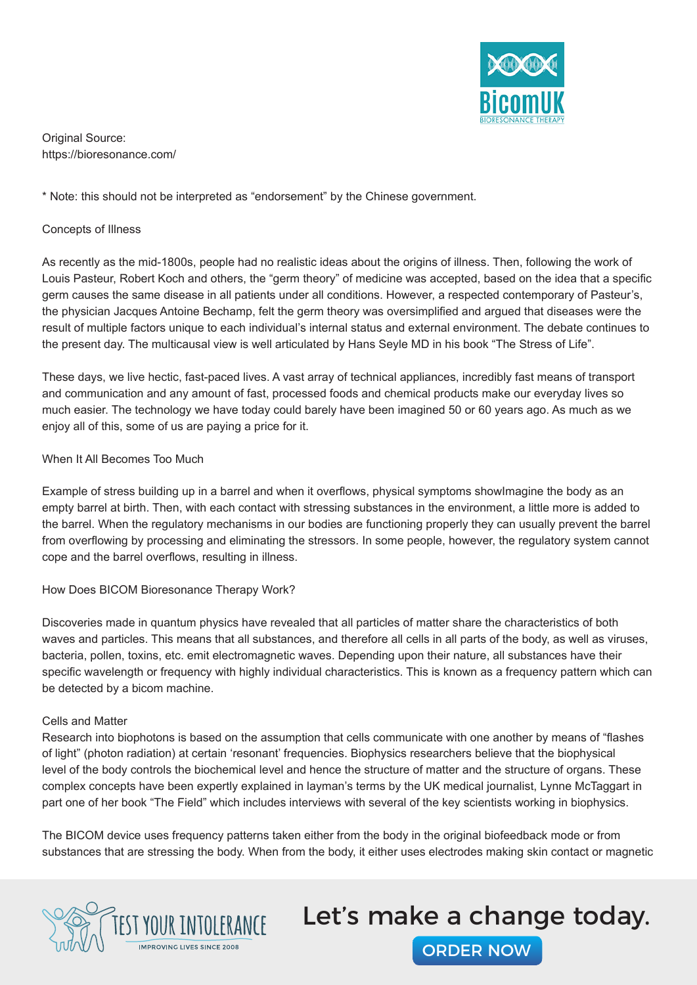

\* Note: this should not be interpreted as "endorsement" by the Chinese government.

#### Concepts of Illness

As recently as the mid-1800s, people had no realistic ideas about the origins of illness. Then, following the work of Louis Pasteur, Robert Koch and others, the "germ theory" of medicine was accepted, based on the idea that a specific germ causes the same disease in all patients under all conditions. However, a respected contemporary of Pasteur's, the physician Jacques Antoine Bechamp, felt the germ theory was oversimplified and argued that diseases were the result of multiple factors unique to each individual's internal status and external environment. The debate continues to the present day. The multicausal view is well articulated by Hans Seyle MD in his book "The Stress of Life".

These days, we live hectic, fast-paced lives. A vast array of technical appliances, incredibly fast means of transport and communication and any amount of fast, processed foods and chemical products make our everyday lives so much easier. The technology we have today could barely have been imagined 50 or 60 years ago. As much as we enjoy all of this, some of us are paying a price for it.

#### When It All Becomes Too Much

Example of stress building up in a barrel and when it overflows, physical symptoms showImagine the body as an empty barrel at birth. Then, with each contact with stressing substances in the environment, a little more is added to the barrel. When the regulatory mechanisms in our bodies are functioning properly they can usually prevent the barrel from overflowing by processing and eliminating the stressors. In some people, however, the regulatory system cannot cope and the barrel overflows, resulting in illness.

#### How Does BICOM Bioresonance Therapy Work?

Discoveries made in quantum physics have revealed that all particles of matter share the characteristics of both waves and particles. This means that all substances, and therefore all cells in all parts of the body, as well as viruses, bacteria, pollen, toxins, etc. emit electromagnetic waves. Depending upon their nature, all substances have their specific wavelength or frequency with highly individual characteristics. This is known as a frequency pattern which can be detected by a bicom machine.

#### Cells and Matter

Research into biophotons is based on the assumption that cells communicate with one another by means of "flashes of light" (photon radiation) at certain 'resonant' frequencies. Biophysics researchers believe that the biophysical level of the body controls the biochemical level and hence the structure of matter and the structure of organs. These complex concepts have been expertly explained in layman's terms by the UK medical journalist, Lynne McTaggart in part one of her book "The Field" which includes interviews with several of the key scientists working in biophysics.

The BICOM device uses frequency patterns taken either from the body in the original biofeedback mode or from substances that are stressing the body. When from the body, it either uses electrodes making skin contact or magnetic



### Let's make a change today.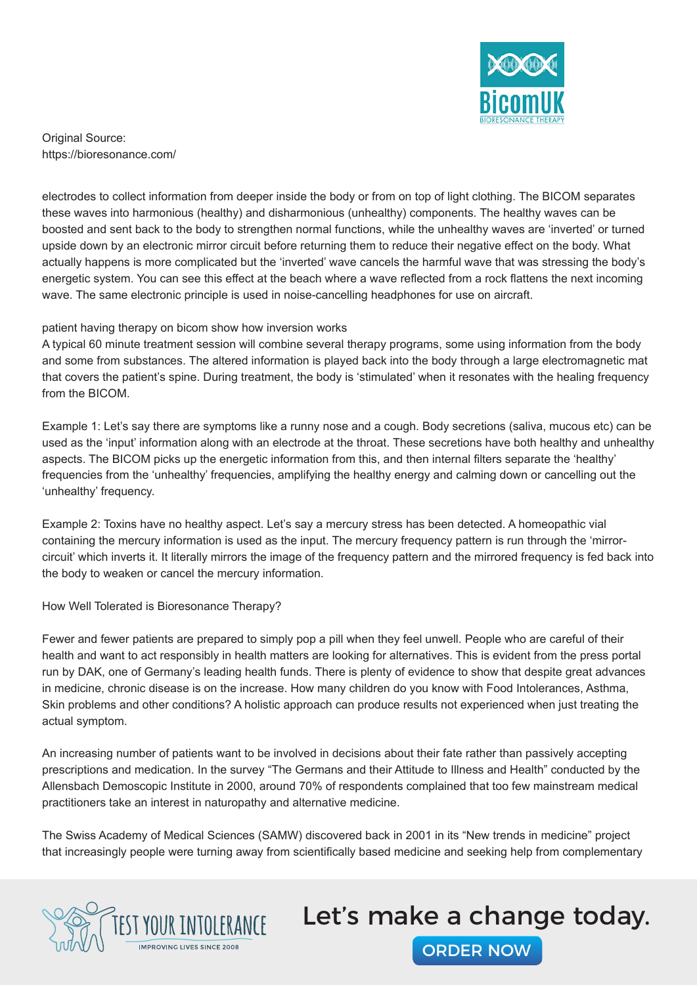

electrodes to collect information from deeper inside the body or from on top of light clothing. The BICOM separates these waves into harmonious (healthy) and disharmonious (unhealthy) components. The healthy waves can be boosted and sent back to the body to strengthen normal functions, while the unhealthy waves are 'inverted' or turned upside down by an electronic mirror circuit before returning them to reduce their negative effect on the body. What actually happens is more complicated but the 'inverted' wave cancels the harmful wave that was stressing the body's energetic system. You can see this effect at the beach where a wave reflected from a rock flattens the next incoming wave. The same electronic principle is used in noise-cancelling headphones for use on aircraft.

#### patient having therapy on bicom show how inversion works

A typical 60 minute treatment session will combine several therapy programs, some using information from the body and some from substances. The altered information is played back into the body through a large electromagnetic mat that covers the patient's spine. During treatment, the body is 'stimulated' when it resonates with the healing frequency from the BICOM.

Example 1: Let's say there are symptoms like a runny nose and a cough. Body secretions (saliva, mucous etc) can be used as the 'input' information along with an electrode at the throat. These secretions have both healthy and unhealthy aspects. The BICOM picks up the energetic information from this, and then internal filters separate the 'healthy' frequencies from the 'unhealthy' frequencies, amplifying the healthy energy and calming down or cancelling out the 'unhealthy' frequency.

Example 2: Toxins have no healthy aspect. Let's say a mercury stress has been detected. A homeopathic vial containing the mercury information is used as the input. The mercury frequency pattern is run through the 'mirrorcircuit' which inverts it. It literally mirrors the image of the frequency pattern and the mirrored frequency is fed back into the body to weaken or cancel the mercury information.

How Well Tolerated is Bioresonance Therapy?

Fewer and fewer patients are prepared to simply pop a pill when they feel unwell. People who are careful of their health and want to act responsibly in health matters are looking for alternatives. This is evident from the press portal run by DAK, one of Germany's leading health funds. There is plenty of evidence to show that despite great advances in medicine, chronic disease is on the increase. How many children do you know with Food Intolerances, Asthma, Skin problems and other conditions? A holistic approach can produce results not experienced when just treating the actual symptom.

An increasing number of patients want to be involved in decisions about their fate rather than passively accepting prescriptions and medication. In the survey "The Germans and their Attitude to Illness and Health" conducted by the Allensbach Demoscopic Institute in 2000, around 70% of respondents complained that too few mainstream medical practitioners take an interest in naturopathy and alternative medicine.

The Swiss Academy of Medical Sciences (SAMW) discovered back in 2001 in its "New trends in medicine" project that increasingly people were turning away from scientifically based medicine and seeking help from complementary



# Let's make a change today.